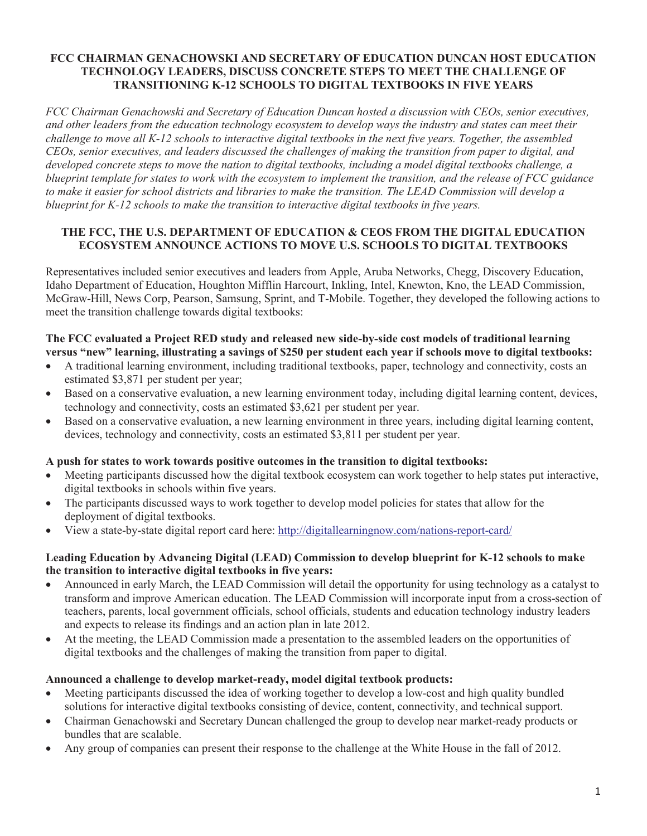### **FCC CHAIRMAN GENACHOWSKI AND SECRETARY OF EDUCATION DUNCAN HOST EDUCATION TECHNOLOGY LEADERS, DISCUSS CONCRETE STEPS TO MEET THE CHALLENGE OF TRANSITIONING K-12 SCHOOLS TO DIGITAL TEXTBOOKS IN FIVE YEARS**

*FCC Chairman Genachowski and Secretary of Education Duncan hosted a discussion with CEOs, senior executives, and other leaders from the education technology ecosystem to develop ways the industry and states can meet their challenge to move all K-12 schools to interactive digital textbooks in the next five years. Together, the assembled CEOs, senior executives, and leaders discussed the challenges of making the transition from paper to digital, and developed concrete steps to move the nation to digital textbooks, including a model digital textbooks challenge, a blueprint template for states to work with the ecosystem to implement the transition, and the release of FCC guidance to make it easier for school districts and libraries to make the transition. The LEAD Commission will develop a blueprint for K-12 schools to make the transition to interactive digital textbooks in five years.*

## **THE FCC, THE U.S. DEPARTMENT OF EDUCATION & CEOS FROM THE DIGITAL EDUCATION ECOSYSTEM ANNOUNCE ACTIONS TO MOVE U.S. SCHOOLS TO DIGITAL TEXTBOOKS**

Representatives included senior executives and leaders from Apple, Aruba Networks, Chegg, Discovery Education, Idaho Department of Education, Houghton Mifflin Harcourt, Inkling, Intel, Knewton, Kno, the LEAD Commission, McGraw-Hill, News Corp, Pearson, Samsung, Sprint, and T-Mobile. Together, they developed the following actions to meet the transition challenge towards digital textbooks:

## **The FCC evaluated a Project RED study and released new side-by-side cost models of traditional learning versus "new" learning, illustrating a savings of \$250 per student each year if schools move to digital textbooks:**

- A traditional learning environment, including traditional textbooks, paper, technology and connectivity, costs an estimated \$3,871 per student per year;
- · Based on a conservative evaluation, a new learning environment today, including digital learning content, devices, technology and connectivity, costs an estimated \$3,621 per student per year.
- · Based on a conservative evaluation, a new learning environment in three years, including digital learning content, devices, technology and connectivity, costs an estimated \$3,811 per student per year.

## **A push for states to work towards positive outcomes in the transition to digital textbooks:**

- · Meeting participants discussed how the digital textbook ecosystem can work together to help states put interactive, digital textbooks in schools within five years.
- The participants discussed ways to work together to develop model policies for states that allow for the deployment of digital textbooks.
- · View a state-by-state digital report card here: http://digitallearningnow.com/nations-report-card/

### **Leading Education by Advancing Digital (LEAD) Commission to develop blueprint for K-12 schools to make the transition to interactive digital textbooks in five years:**

- Announced in early March, the LEAD Commission will detail the opportunity for using technology as a catalyst to transform and improve American education. The LEAD Commission will incorporate input from a cross-section of teachers, parents, local government officials, school officials, students and education technology industry leaders and expects to release its findings and an action plan in late 2012.
- · At the meeting, the LEAD Commission made a presentation to the assembled leaders on the opportunities of digital textbooks and the challenges of making the transition from paper to digital.

## **Announced a challenge to develop market-ready, model digital textbook products:**

- · Meeting participants discussed the idea of working together to develop a low-cost and high quality bundled solutions for interactive digital textbooks consisting of device, content, connectivity, and technical support.
- · Chairman Genachowski and Secretary Duncan challenged the group to develop near market-ready products or bundles that are scalable.
- · Any group of companies can present their response to the challenge at the White House in the fall of 2012.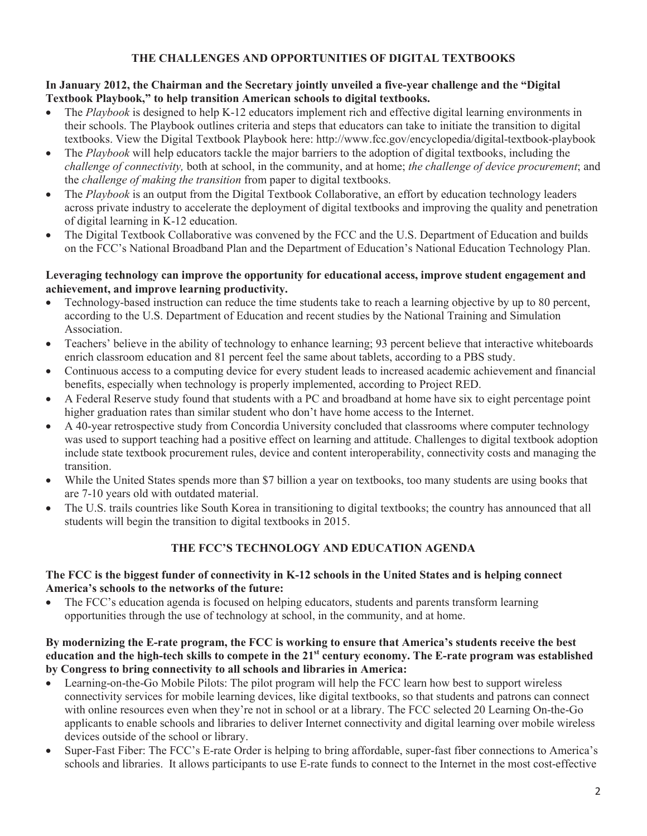# **THE CHALLENGES AND OPPORTUNITIES OF DIGITAL TEXTBOOKS**

### **In January 2012, the Chairman and the Secretary jointly unveiled a five-year challenge and the "Digital Textbook Playbook," to help transition American schools to digital textbooks.**

- The *Playbook* is designed to help K-12 educators implement rich and effective digital learning environments in their schools. The Playbook outlines criteria and steps that educators can take to initiate the transition to digital textbooks. View the Digital Textbook Playbook here: http://www.fcc.gov/encyclopedia/digital-textbook-playbook
- · The *Playbook* will help educators tackle the major barriers to the adoption of digital textbooks, including the *challenge of connectivity,* both at school, in the community, and at home; *the challenge of device procurement*; and the *challenge of making the transition* from paper to digital textbooks.
- The *Playbook* is an output from the Digital Textbook Collaborative, an effort by education technology leaders across private industry to accelerate the deployment of digital textbooks and improving the quality and penetration of digital learning in K-12 education.
- The Digital Textbook Collaborative was convened by the FCC and the U.S. Department of Education and builds on the FCC's National Broadband Plan and the Department of Education's National Education Technology Plan.

#### **Leveraging technology can improve the opportunity for educational access, improve student engagement and achievement, and improve learning productivity.**

- · Technology-based instruction can reduce the time students take to reach a learning objective by up to 80 percent, according to the U.S. Department of Education and recent studies by the National Training and Simulation Association.
- Teachers' believe in the ability of technology to enhance learning; 93 percent believe that interactive whiteboards enrich classroom education and 81 percent feel the same about tablets, according to a PBS study.
- · Continuous access to a computing device for every student leads to increased academic achievement and financial benefits, especially when technology is properly implemented, according to Project RED.
- · A Federal Reserve study found that students with a PC and broadband at home have six to eight percentage point higher graduation rates than similar student who don't have home access to the Internet.
- · A 40-year retrospective study from Concordia University concluded that classrooms where computer technology was used to support teaching had a positive effect on learning and attitude. Challenges to digital textbook adoption include state textbook procurement rules, device and content interoperability, connectivity costs and managing the transition.
- · While the United States spends more than \$7 billion a year on textbooks, too many students are using books that are 7-10 years old with outdated material.
- The U.S. trails countries like South Korea in transitioning to digital textbooks; the country has announced that all students will begin the transition to digital textbooks in 2015.

# **THE FCC'S TECHNOLOGY AND EDUCATION AGENDA**

### **The FCC is the biggest funder of connectivity in K-12 schools in the United States and is helping connect America's schools to the networks of the future:**

The FCC's education agenda is focused on helping educators, students and parents transform learning opportunities through the use of technology at school, in the community, and at home.

#### **By modernizing the E-rate program, the FCC is working to ensure that America's students receive the best education and the high-tech skills to compete in the 21st century economy. The E-rate program was established by Congress to bring connectivity to all schools and libraries in America:**

- Learning-on-the-Go Mobile Pilots: The pilot program will help the FCC learn how best to support wireless connectivity services for mobile learning devices, like digital textbooks, so that students and patrons can connect with online resources even when they're not in school or at a library. The FCC selected 20 Learning On-the-Go applicants to enable schools and libraries to deliver Internet connectivity and digital learning over mobile wireless devices outside of the school or library.
- · Super-Fast Fiber: The FCC's E-rate Order is helping to bring affordable, super-fast fiber connections to America's schools and libraries. It allows participants to use E-rate funds to connect to the Internet in the most cost-effective